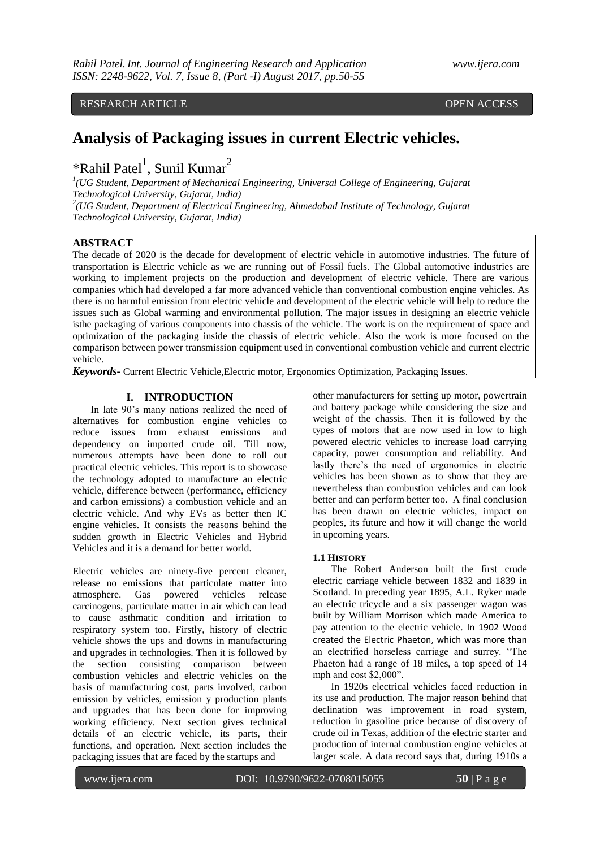RESEARCH ARTICLE OPEN ACCESS

# **Analysis of Packaging issues in current Electric vehicles.**

\*Rahil Patel<sup>1</sup>, Sunil Kumar<sup>2</sup>

*1 (UG Student, Department of Mechanical Engineering, Universal College of Engineering, Gujarat Technological University, Gujarat, India) 2 (UG Student, Department of Electrical Engineering, Ahmedabad Institute of Technology, Gujarat* 

*Technological University, Gujarat, India)*

## **ABSTRACT**

The decade of 2020 is the decade for development of electric vehicle in automotive industries. The future of transportation is Electric vehicle as we are running out of Fossil fuels. The Global automotive industries are working to implement projects on the production and development of electric vehicle. There are various companies which had developed a far more advanced vehicle than conventional combustion engine vehicles. As there is no harmful emission from electric vehicle and development of the electric vehicle will help to reduce the issues such as Global warming and environmental pollution. The major issues in designing an electric vehicle isthe packaging of various components into chassis of the vehicle. The work is on the requirement of space and optimization of the packaging inside the chassis of electric vehicle. Also the work is more focused on the comparison between power transmission equipment used in conventional combustion vehicle and current electric vehicle.

*Keywords***-** Current Electric Vehicle,Electric motor, Ergonomics Optimization, Packaging Issues.

## **I. INTRODUCTION**

In late 90's many nations realized the need of alternatives for combustion engine vehicles to reduce issues from exhaust emissions and dependency on imported crude oil. Till now, numerous attempts have been done to roll out practical electric vehicles. This report is to showcase the technology adopted to manufacture an electric vehicle, difference between (performance, efficiency and carbon emissions) a combustion vehicle and an electric vehicle. And why EVs as better then IC engine vehicles. It consists the reasons behind the sudden growth in Electric Vehicles and Hybrid Vehicles and it is a demand for better world.

Electric vehicles are ninety-five percent cleaner, release no emissions that particulate matter into atmosphere. Gas powered vehicles release Gas powered vehicles release carcinogens, particulate matter in air which can lead to cause asthmatic condition and irritation to respiratory system too. Firstly, history of electric vehicle shows the ups and downs in manufacturing and upgrades in technologies. Then it is followed by the section consisting comparison between combustion vehicles and electric vehicles on the basis of manufacturing cost, parts involved, carbon emission by vehicles, emission y production plants and upgrades that has been done for improving working efficiency. Next section gives technical details of an electric vehicle, its parts, their functions, and operation. Next section includes the packaging issues that are faced by the startups and

other manufacturers for setting up motor, powertrain and battery package while considering the size and weight of the chassis. Then it is followed by the types of motors that are now used in low to high powered electric vehicles to increase load carrying capacity, power consumption and reliability. And lastly there's the need of ergonomics in electric vehicles has been shown as to show that they are nevertheless than combustion vehicles and can look better and can perform better too. A final conclusion has been drawn on electric vehicles, impact on peoples, its future and how it will change the world in upcoming years.

## **1.1 HISTORY**

The Robert Anderson built the first crude electric carriage vehicle between 1832 and 1839 in Scotland. In preceding year 1895, A.L. Ryker made an electric tricycle and a six passenger wagon was built by William Morrison which made America to pay attention to the electric vehicle. In 1902 Wood created the Electric Phaeton, which was more than an electrified horseless carriage and surrey. "The Phaeton had a range of 18 miles, a top speed of 14 mph and cost \$2,000".

In 1920s electrical vehicles faced reduction in its use and production. The major reason behind that declination was improvement in road system, reduction in gasoline price because of discovery of crude oil in Texas, addition of the electric starter and production of internal combustion engine vehicles at larger scale. A data record says that, during 1910s a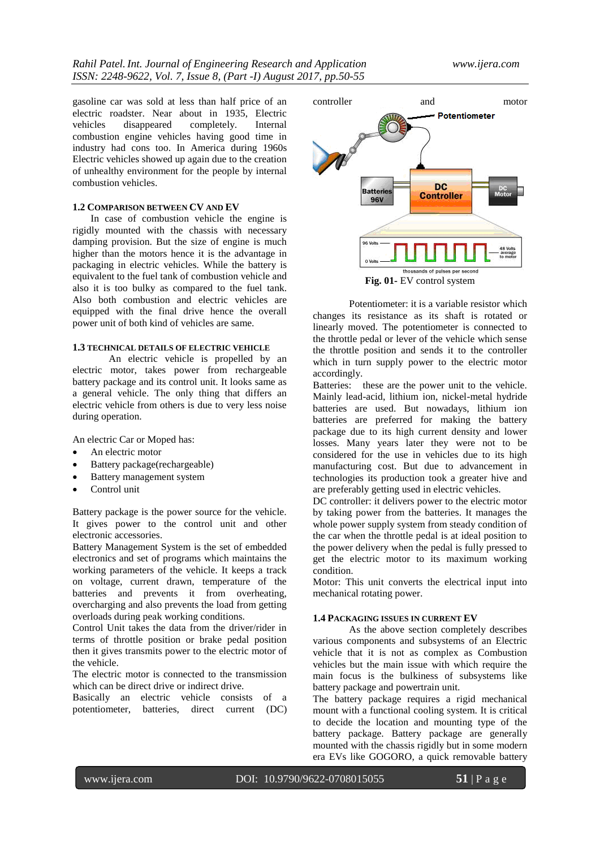gasoline car was sold at less than half price of an electric roadster. Near about in 1935, Electric vehicles disappeared completely. Internal combustion engine vehicles having good time in industry had cons too. In America during 1960s Electric vehicles showed up again due to the creation of unhealthy environment for the people by internal combustion vehicles.

## **1.2 COMPARISON BETWEEN CV AND EV**

In case of combustion vehicle the engine is rigidly mounted with the chassis with necessary damping provision. But the size of engine is much higher than the motors hence it is the advantage in packaging in electric vehicles. While the battery is equivalent to the fuel tank of combustion vehicle and also it is too bulky as compared to the fuel tank. Also both combustion and electric vehicles are equipped with the final drive hence the overall power unit of both kind of vehicles are same.

## **1.3 TECHNICAL DETAILS OF ELECTRIC VEHICLE**

An electric vehicle is propelled by an electric motor, takes power from rechargeable battery package and its control unit. It looks same as a general vehicle. The only thing that differs an electric vehicle from others is due to very less noise during operation.

An electric Car or Moped has:

- An electric motor
- Battery package(rechargeable)
- Battery management system
- Control unit

Battery package is the power source for the vehicle. It gives power to the control unit and other electronic accessories.

Battery Management System is the set of embedded electronics and set of programs which maintains the working parameters of the vehicle. It keeps a track on voltage, current drawn, temperature of the batteries and prevents it from overheating, overcharging and also prevents the load from getting overloads during peak working conditions.

Control Unit takes the data from the driver/rider in terms of throttle position or brake pedal position then it gives transmits power to the electric motor of the vehicle.

The electric motor is connected to the transmission which can be direct drive or indirect drive.

Basically an electric vehicle consists of a potentiometer, batteries, direct current (DC)



**Fig. 01-** EV control system

Potentiometer: it is a variable resistor which changes its resistance as its shaft is rotated or linearly moved. The potentiometer is connected to the throttle pedal or lever of the vehicle which sense the throttle position and sends it to the controller which in turn supply power to the electric motor accordingly.

Batteries: these are the power unit to the vehicle. Mainly lead-acid, lithium ion, nickel-metal hydride batteries are used. But nowadays, lithium ion batteries are preferred for making the battery package due to its high current density and lower losses. Many years later they were not to be considered for the use in vehicles due to its high manufacturing cost. But due to advancement in technologies its production took a greater hive and are preferably getting used in electric vehicles.

DC controller: it delivers power to the electric motor by taking power from the batteries. It manages the whole power supply system from steady condition of the car when the throttle pedal is at ideal position to the power delivery when the pedal is fully pressed to get the electric motor to its maximum working condition.

Motor: This unit converts the electrical input into mechanical rotating power.

#### **1.4 PACKAGING ISSUES IN CURRENT EV**

As the above section completely describes various components and subsystems of an Electric vehicle that it is not as complex as Combustion vehicles but the main issue with which require the main focus is the bulkiness of subsystems like battery package and powertrain unit.

The battery package requires a rigid mechanical mount with a functional cooling system. It is critical to decide the location and mounting type of the battery package. Battery package are generally mounted with the chassis rigidly but in some modern era EVs like GOGORO, a quick removable battery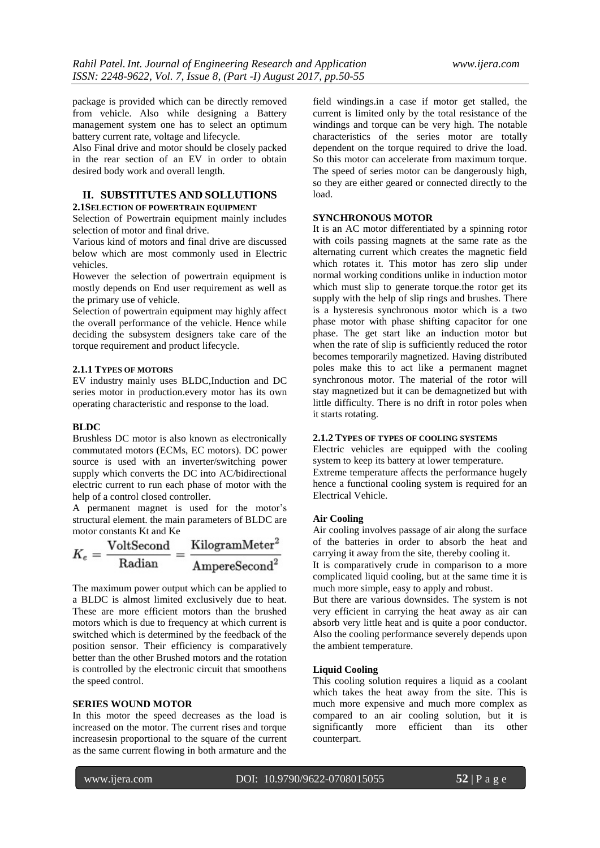package is provided which can be directly removed from vehicle. Also while designing a Battery management system one has to select an optimum battery current rate, voltage and lifecycle.

Also Final drive and motor should be closely packed in the rear section of an EV in order to obtain desired body work and overall length.

## **II. SUBSTITUTES AND SOLLUTIONS**

#### **2.1SELECTION OF POWERTRAIN EQUIPMENT**

Selection of Powertrain equipment mainly includes selection of motor and final drive.

Various kind of motors and final drive are discussed below which are most commonly used in Electric vehicles.

However the selection of powertrain equipment is mostly depends on End user requirement as well as the primary use of vehicle.

Selection of powertrain equipment may highly affect the overall performance of the vehicle. Hence while deciding the subsystem designers take care of the torque requirement and product lifecycle.

## **2.1.1 TYPES OF MOTORS**

EV industry mainly uses BLDC,Induction and DC series motor in production.every motor has its own operating characteristic and response to the load.

#### **BLDC**

Brushless DC motor is also known as electronically commutated motors (ECMs, EC motors). DC power source is used with an inverter/switching power supply which converts the DC into AC/bidirectional electric current to run each phase of motor with the help of a control closed controller.

A permanent magnet is used for the motor's structural element. the main parameters of BLDC are motor constants Kt and Ke

$$
K_e = \frac{\textrm{VoltSecond}}{\textrm{Radian}} = \frac{\textrm{KilogramMeter}^2}{\textrm{AmpereSecond}^2}
$$

The maximum power output which can be applied to a BLDC is almost limited exclusively due to heat. These are more efficient motors than the brushed motors which is due to frequency at which current is switched which is determined by the feedback of the position sensor. Their efficiency is comparatively better than the other Brushed motors and the rotation is controlled by the electronic circuit that smoothens the speed control.

## **SERIES WOUND MOTOR**

In this motor the speed decreases as the load is increased on the motor. The current rises and torque increasesin proportional to the square of the current as the same current flowing in both armature and the

field windings.in a case if motor get stalled, the current is limited only by the total resistance of the windings and torque can be very high. The notable characteristics of the series motor are totally dependent on the torque required to drive the load. So this motor can accelerate from maximum torque. The speed of series motor can be dangerously high, so they are either geared or connected directly to the load.

#### **SYNCHRONOUS MOTOR**

It is an AC motor differentiated by a spinning rotor with coils passing magnets at the same rate as the alternating current which creates the magnetic field which rotates it. This motor has zero slip under normal working conditions unlike in induction motor which must slip to generate torque.the rotor get its supply with the help of slip rings and brushes. There is a hysteresis synchronous motor which is a two phase motor with phase shifting capacitor for one phase. The get start like an induction motor but when the rate of slip is sufficiently reduced the rotor becomes temporarily magnetized. Having distributed poles make this to act like a permanent magnet synchronous motor. The material of the rotor will stay magnetized but it can be demagnetized but with little difficulty. There is no drift in rotor poles when it starts rotating.

## **2.1.2 TYPES OF TYPES OF COOLING SYSTEMS**

Electric vehicles are equipped with the cooling system to keep its battery at lower temperature. Extreme temperature affects the performance hugely hence a functional cooling system is required for an Electrical Vehicle.

#### **Air Cooling**

Air cooling involves passage of air along the surface of the batteries in order to absorb the heat and carrying it away from the site, thereby cooling it.

It is comparatively crude in comparison to a more complicated liquid cooling, but at the same time it is much more simple, easy to apply and robust.

But there are various downsides. The system is not very efficient in carrying the heat away as air can absorb very little heat and is quite a poor conductor. Also the cooling performance severely depends upon the ambient temperature.

#### **Liquid Cooling**

This cooling solution requires a liquid as a coolant which takes the heat away from the site. This is much more expensive and much more complex as compared to an air cooling solution, but it is significantly more efficient than its other counterpart.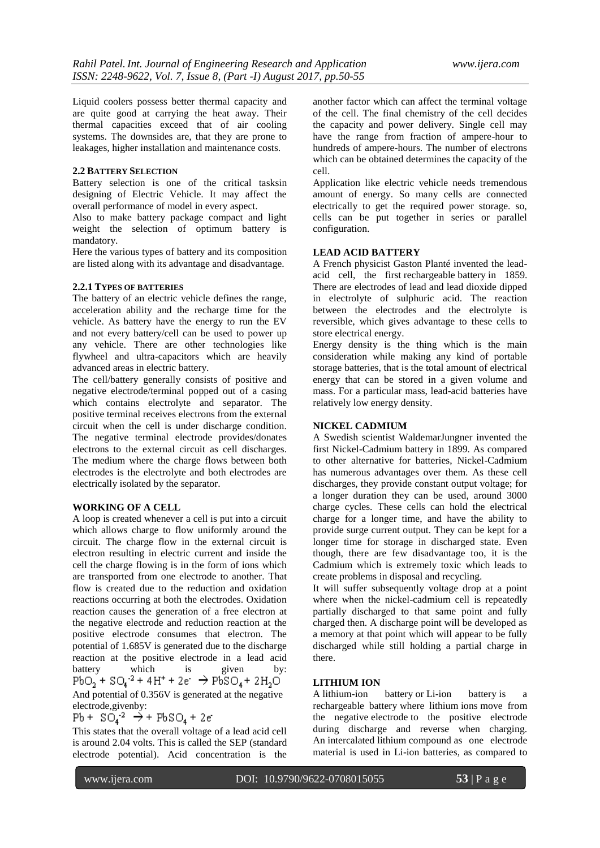Liquid coolers possess better thermal capacity and are quite good at carrying the heat away. Their thermal capacities exceed that of air cooling systems. The downsides are, that they are prone to leakages, higher installation and maintenance costs.

## **2.2 BATTERY SELECTION**

Battery selection is one of the critical tasksin designing of Electric Vehicle. It may affect the overall performance of model in every aspect.

Also to make battery package compact and light weight the selection of optimum battery is mandatory.

Here the various types of battery and its composition are listed along with its advantage and disadvantage.

#### **2.2.1 TYPES OF BATTERIES**

The battery of an electric vehicle defines the range, acceleration ability and the recharge time for the vehicle. As battery have the energy to run the EV and not every battery/cell can be used to power up any vehicle. There are other technologies like flywheel and ultra-capacitors which are heavily advanced areas in electric battery.

The cell/battery generally consists of positive and negative electrode/terminal popped out of a casing which contains electrolyte and separator. The positive terminal receives electrons from the external circuit when the cell is under discharge condition. The negative terminal electrode provides/donates electrons to the external circuit as cell discharges. The medium where the charge flows between both electrodes is the electrolyte and both electrodes are electrically isolated by the separator.

## **WORKING OF A CELL**

A loop is created whenever a cell is put into a circuit which allows charge to flow uniformly around the circuit. The charge flow in the external circuit is electron resulting in electric current and inside the cell the charge flowing is in the form of ions which are transported from one electrode to another. That flow is created due to the reduction and oxidation reactions occurring at both the electrodes. Oxidation reaction causes the generation of a free electron at the negative electrode and reduction reaction at the positive electrode consumes that electron. The potential of 1.685V is generated due to the discharge reaction at the positive electrode in a lead acid battery which is given by<br>  $PbO_2 + SO_4^{-2} + 4H^+ + 2e^- \rightarrow PbSO_4 + 2H_2O$ And potential of 0.356V is generated at the negative electrode,givenby:

$$
Pb + S0.2 \rightarrow + PbSO + 2e
$$

This states that the overall voltage of a lead acid cell is around 2.04 volts. This is called the SEP (standard electrode potential). Acid concentration is the another factor which can affect the terminal voltage of the cell. The final chemistry of the cell decides the capacity and power delivery. Single cell may have the range from fraction of ampere-hour to hundreds of ampere-hours. The number of electrons which can be obtained determines the capacity of the cell.

Application like electric vehicle needs tremendous amount of energy. So many cells are connected electrically to get the required power storage. so, cells can be put together in series or parallel configuration.

## **LEAD ACID BATTERY**

A French physicist Gaston Planté invented the leadacid cell, the first rechargeable battery in 1859. There are electrodes of lead and lead dioxide dipped in electrolyte of sulphuric acid. The reaction between the electrodes and the electrolyte is reversible, which gives advantage to these cells to store electrical energy.

Energy density is the thing which is the main consideration while making any kind of portable storage batteries, that is the total amount of electrical energy that can be stored in a given volume and mass. For a particular mass, lead-acid batteries have relatively low energy density.

#### **NICKEL CADMIUM**

A Swedish scientist WaldemarJungner invented the first Nickel-Cadmium battery in 1899. As compared to other alternative for batteries, Nickel-Cadmium has numerous advantages over them. As these cell discharges, they provide constant output voltage; for a longer duration they can be used, around 3000 charge cycles. These cells can hold the electrical charge for a longer time, and have the ability to provide surge current output. They can be kept for a longer time for storage in discharged state. Even though, there are few disadvantage too, it is the Cadmium which is extremely toxic which leads to create problems in disposal and recycling.

It will suffer subsequently voltage drop at a point where when the nickel-cadmium cell is repeatedly partially discharged to that same point and fully charged then. A discharge point will be developed as a memory at that point which will appear to be fully discharged while still holding a partial charge in there.

## **LITHIUM ION**

A lithium-ion battery or Li-ion battery is rechargeable battery where lithium ions move from the negative electrode to the positive electrode during discharge and reverse when charging. An intercalated lithium compound as one electrode material is used in Li-ion batteries, as compared to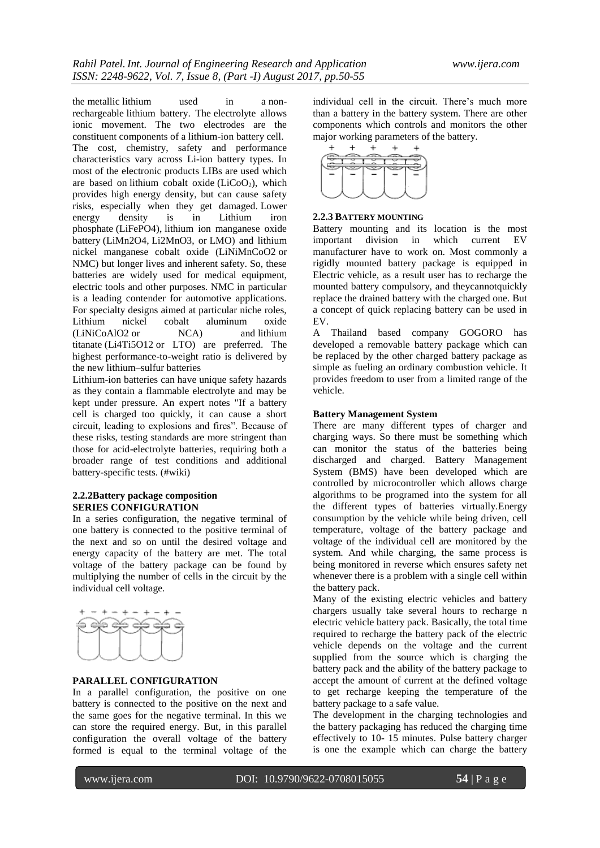the metallic lithium used in a nonrechargeable lithium battery. The electrolyte allows ionic movement. The two electrodes are the constituent components of a lithium-ion battery cell. The cost, chemistry, safety and performance characteristics vary across Li-ion battery types. In most of the electronic products LIBs are used which are based on lithium cobalt oxide ( $LiCoO<sub>2</sub>$ ), which provides high energy density, but can cause safety risks, especially when they get damaged. Lower energy density is in Lithium iron phosphate (LiFePO4), lithium ion manganese oxide battery (LiMn2O4, Li2MnO3, or LMO) and lithium nickel manganese cobalt oxide (LiNiMnCoO2 or NMC) but longer lives and inherent safety. So, these batteries are widely used for medical equipment, electric tools and other purposes. NMC in particular is a leading contender for automotive applications. For specialty designs aimed at particular niche roles, Lithium nickel cobalt aluminum oxide (LiNiCoAlO2 or NCA) and lithium titanate (Li4Ti5O12 or LTO) are preferred. The highest performance-to-weight ratio is delivered by the new lithium–sulfur batteries

Lithium-ion batteries can have unique safety hazards as they contain a flammable electrolyte and may be kept under pressure. An expert notes "If a battery cell is charged too quickly, it can cause a short circuit, leading to explosions and fires". Because of these risks, testing standards are more stringent than those for acid-electrolyte batteries, requiring both a broader range of test conditions and additional battery-specific tests. (#wiki)

## **2.2.2Battery package composition SERIES CONFIGURATION**

In a series configuration, the negative terminal of one battery is connected to the positive terminal of the next and so on until the desired voltage and energy capacity of the battery are met. The total voltage of the battery package can be found by multiplying the number of cells in the circuit by the individual cell voltage.



#### **PARALLEL CONFIGURATION**

In a parallel configuration, the positive on one battery is connected to the positive on the next and the same goes for the negative terminal. In this we can store the required energy. But, in this parallel configuration the overall voltage of the battery formed is equal to the terminal voltage of the

individual cell in the circuit. There's much more than a battery in the battery system. There are other components which controls and monitors the other major working parameters of the battery.<br> $+ + + +$ 



#### **2.2.3 BATTERY MOUNTING**

Battery mounting and its location is the most important division in which current EV manufacturer have to work on. Most commonly a rigidly mounted battery package is equipped in Electric vehicle, as a result user has to recharge the mounted battery compulsory, and theycannotquickly replace the drained battery with the charged one. But a concept of quick replacing battery can be used in EV.

A Thailand based company GOGORO has developed a removable battery package which can be replaced by the other charged battery package as simple as fueling an ordinary combustion vehicle. It provides freedom to user from a limited range of the vehicle.

## **Battery Management System**

There are many different types of charger and charging ways. So there must be something which can monitor the status of the batteries being discharged and charged. Battery Management System (BMS) have been developed which are controlled by microcontroller which allows charge algorithms to be programed into the system for all the different types of batteries virtually.Energy consumption by the vehicle while being driven, cell temperature, voltage of the battery package and voltage of the individual cell are monitored by the system. And while charging, the same process is being monitored in reverse which ensures safety net whenever there is a problem with a single cell within the battery pack.

Many of the existing electric vehicles and battery chargers usually take several hours to recharge n electric vehicle battery pack. Basically, the total time required to recharge the battery pack of the electric vehicle depends on the voltage and the current supplied from the source which is charging the battery pack and the ability of the battery package to accept the amount of current at the defined voltage to get recharge keeping the temperature of the battery package to a safe value.

The development in the charging technologies and the battery packaging has reduced the charging time effectively to 10- 15 minutes. Pulse battery charger is one the example which can charge the battery